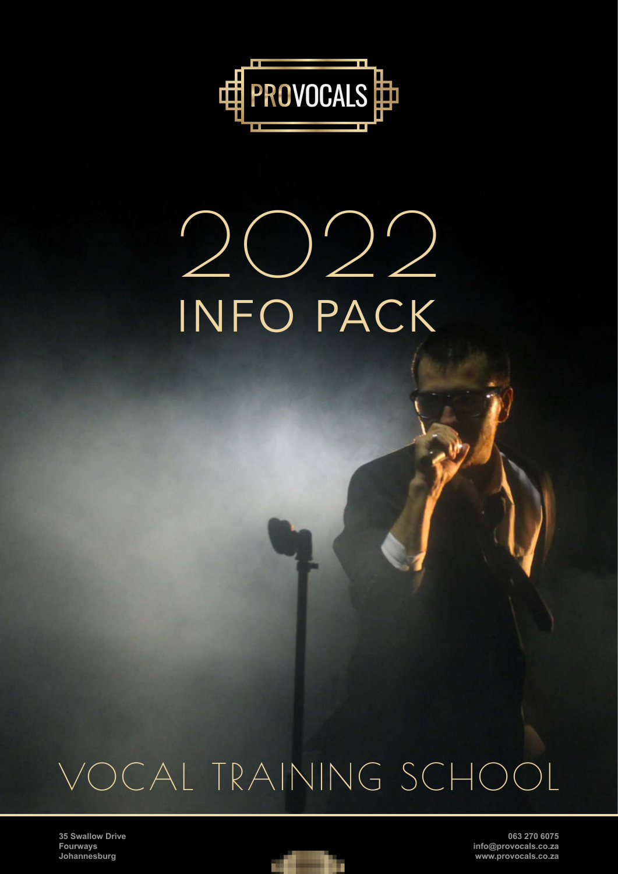

# 2022 INFO PACK

## VOCAL TRAINING SCHOOL

**35 Swallow Drive Fourways Johannesburg**

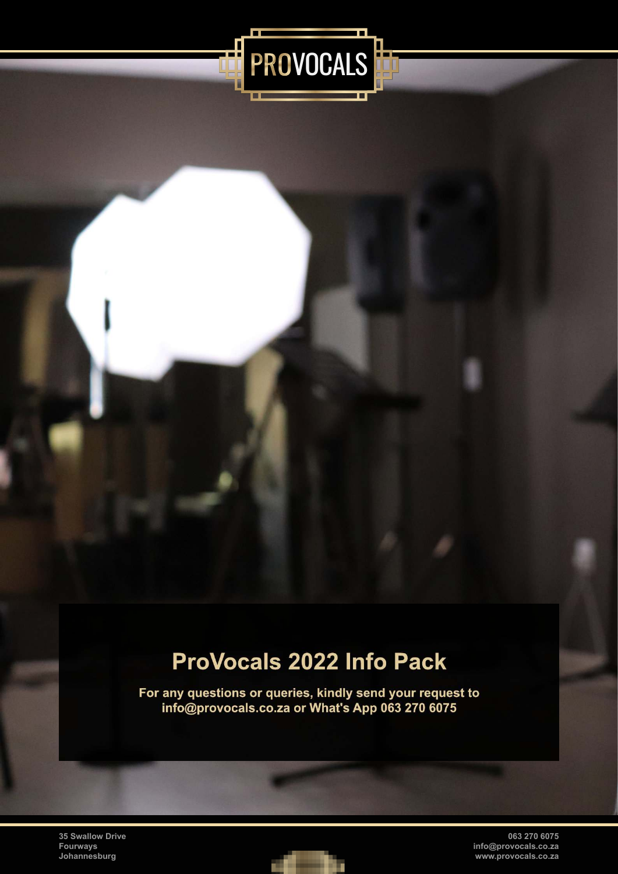

### ProVocals 2022 Info Pack

For any questions or queries, kindly send your request to info@provocals.co.za or What's App 063 270 6075

**35 Swallow Drive Fourways Johannesburg**

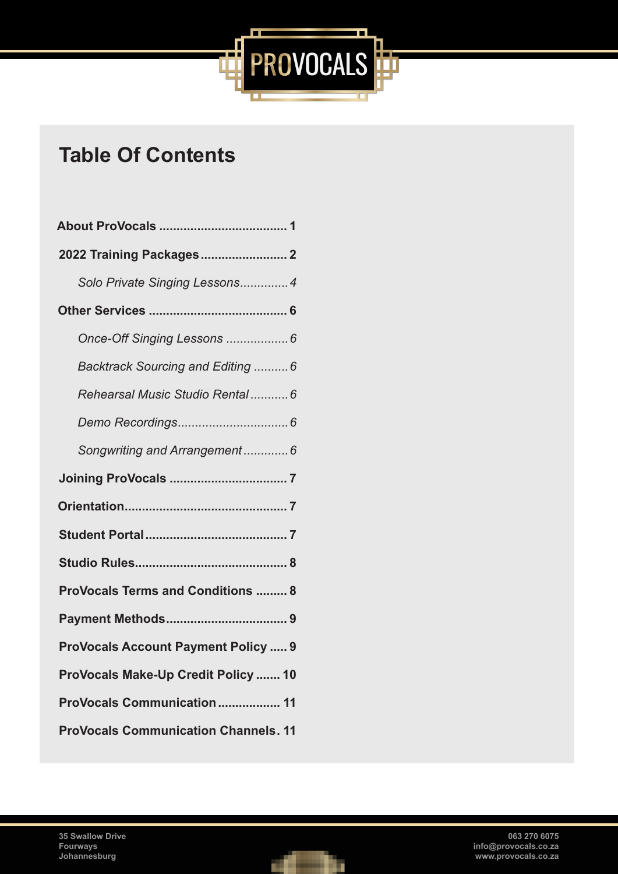

### **Table Of Contents**

| Solo Private Singing Lessons4               |
|---------------------------------------------|
|                                             |
| Once-Off Singing Lessons  6                 |
| Backtrack Sourcing and Editing  6           |
| Rehearsal Music Studio Rental 6             |
|                                             |
| Songwriting and Arrangement 6               |
|                                             |
|                                             |
|                                             |
|                                             |
| <b>ProVocals Terms and Conditions  8</b>    |
|                                             |
| <b>ProVocals Account Payment Policy  9</b>  |
| ProVocals Make-Up Credit Policy  10         |
| ProVocals Communication 11                  |
| <b>ProVocals Communication Channels. 11</b> |

**35 Swallow Drive Fourways Johannesburg**

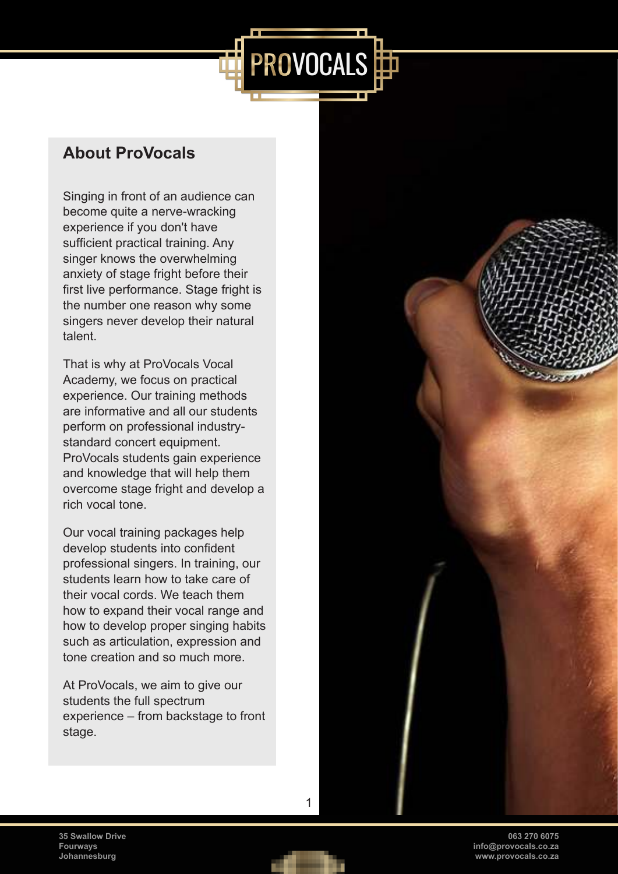#### <span id="page-3-0"></span>**About ProVocals**

Singing in front of an audience can become quite a nerve-wracking experience if you don't have sufficient practical training. Any singer knows the overwhelming anxiety of stage fright before their first live performance. Stage fright is the number one reason why some singers never develop their natural talent.

That is why at ProVocals Vocal Academy, we focus on practical experience. Our training methods are informative and all our students perform on professional industrystandard concert equipment. ProVocals students gain experience and knowledge that will help them overcome stage fright and develop a rich vocal tone.

Our vocal training packages help develop students into confident professional singers. In training, our students learn how to take care of their vocal cords. We teach them how to expand their vocal range and how to develop proper singing habits such as articulation, expression and tone creation and so much more.

At ProVocals, we aim to give our students the full spectrum experience – from backstage to front stage.



**063 270 6075 info@provocals.co.za www.provocals.co.za**

**35 Swallow Drive Fourways Johannesburg**



1

PROVOCALS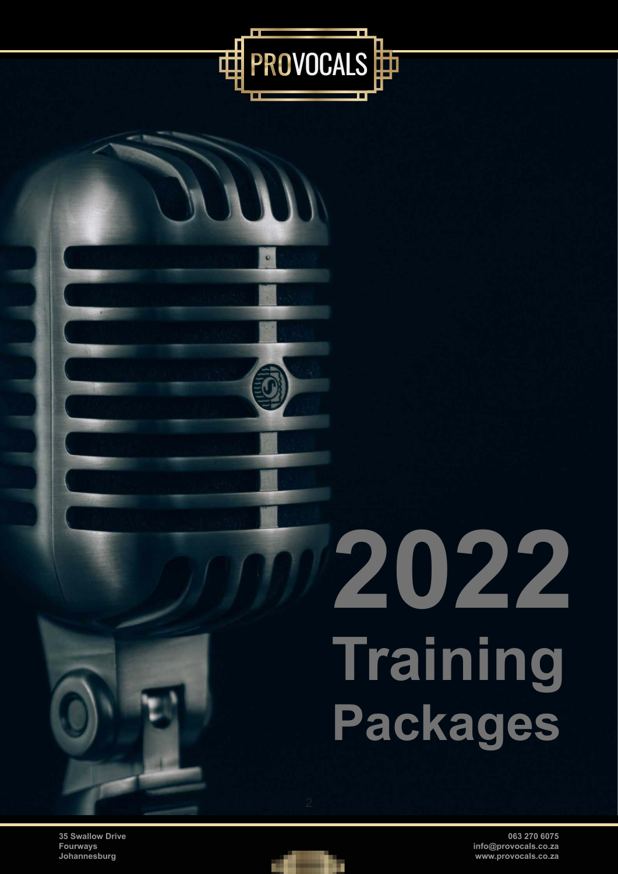

**35 Swallow Drive Fourways Johannesburg**



<span id="page-4-0"></span>PROVOCALS

 $\bullet$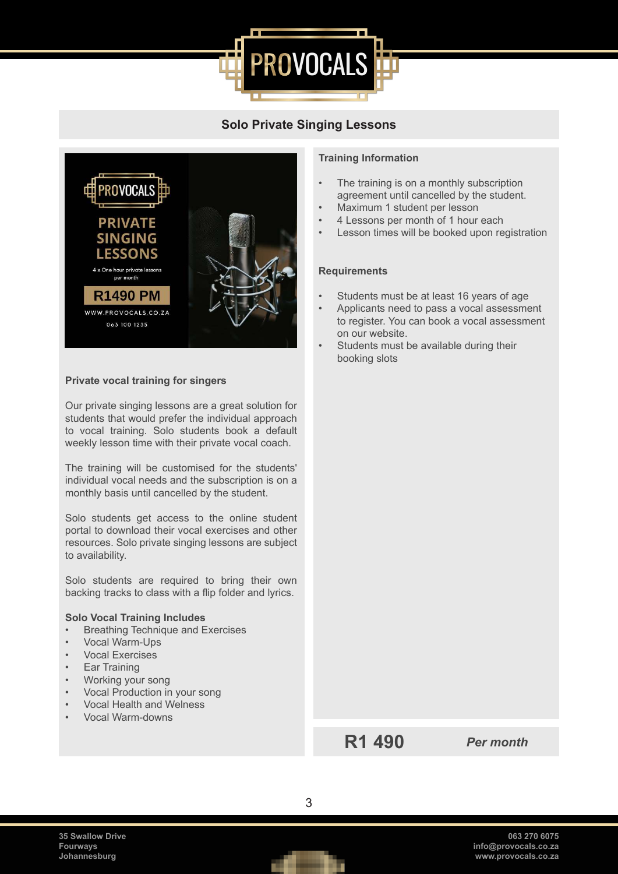

#### **Solo Private Singing Lessons**



#### **Private vocal training for singers**

Our private singing lessons are a great solution for students that would prefer the individual approach to vocal training. Solo students book a default weekly lesson time with their private vocal coach.

The training will be customised for the students' individual vocal needs and the subscription is on a monthly basis until cancelled by the student.

Solo students get access to the online student portal to download their vocal exercises and other resources. Solo private singing lessons are subject to availability.

Solo students are required to bring their own backing tracks to class with a flip folder and lyrics.

#### **Solo Vocal Training Includes**

- Breathing Technique and Exercises
- Vocal Warm-Ups
- Vocal Exercises
- Ear Training
- Working your song
- Vocal Production in your song
- Vocal Health and Welness
- Vocal Warm-downs

#### **Training Information**

- The training is on a monthly subscription agreement until cancelled by the student.
- Maximum 1 student per lesson
- 4 Lessons per month of 1 hour each
- Lesson times will be booked upon registration

#### **Requirements**

- Students must be at least 16 years of age
- Applicants need to pass a vocal assessment to register. You can book a vocal assessment on our website.
- Students must be available during their booking slots

**R1 490** *Per month*

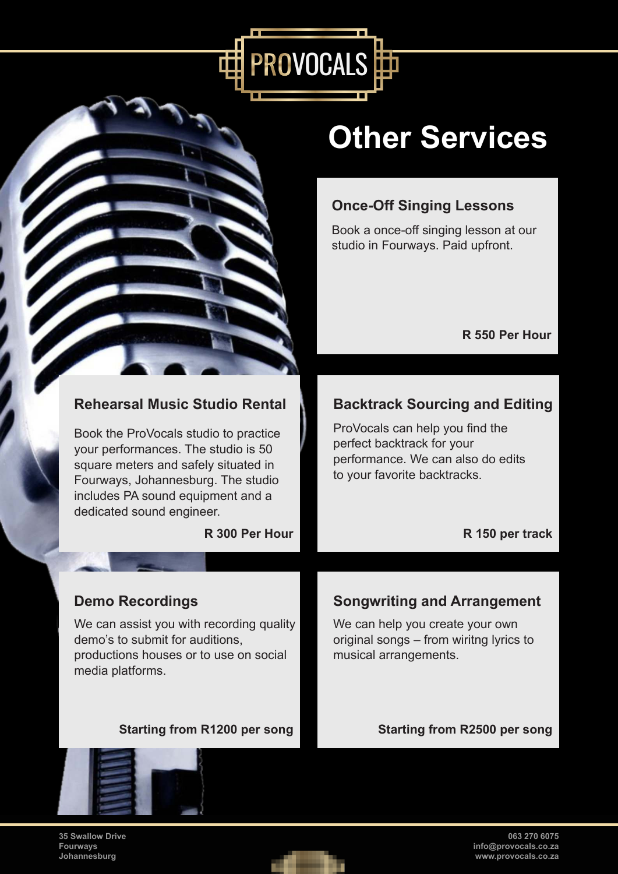<span id="page-6-0"></span>

## **Other Services**

#### **Once-Off Singing Lessons**

Book a once-off singing lesson at our studio in Fourways. Paid upfront.

#### **R 550 Per Hour**

#### **Rehearsal Music Studio Rental Number Backtrack Sourcing and Editing**

ProVocals can help you find the perfect backtrack for your performance. We can also do edits to your favorite backtracks.

**R 300 Per Hour R 150 per track** 

dedicated sound engineer.

We can assist you with recording quality demo's to submit for auditions, productions houses or to use on social media platforms.

Book the ProVocals studio to practice your performances. The studio is 50 square meters and safely situated in Fourways, Johannesburg. The studio includes PA sound equipment and a

#### **Demo Recordings Congress Congress Songwriting and Arrangement**

We can help you create your own original songs – from wiritng lyrics to musical arrangements.

#### Starting from R1200 per song **Starting from R2500 per song**



**35 Swallow Drive Fourways Johannesburg**

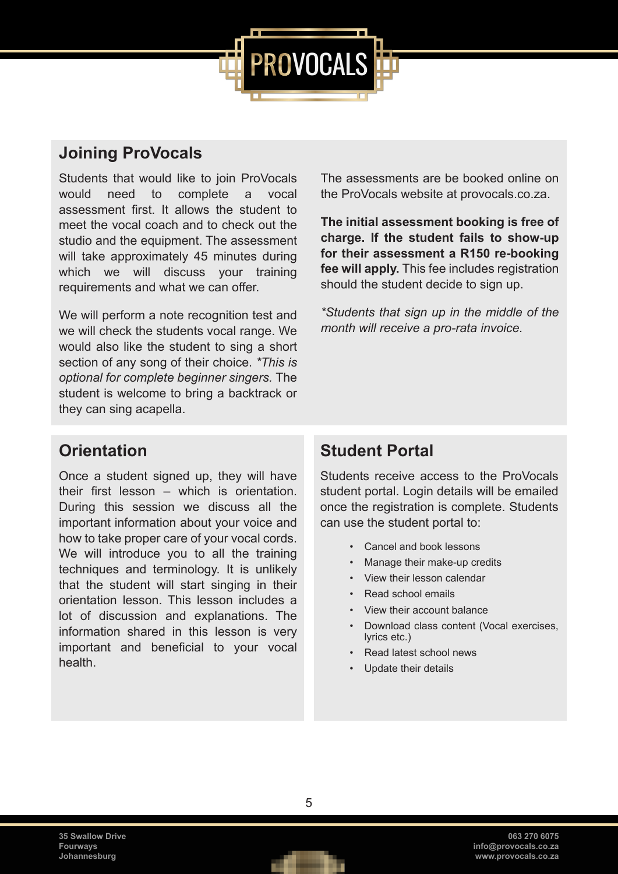

#### **Joining ProVocals**

Students that would like to join ProVocals would need to complete a vocal assessment first. It allows the student to meet the vocal coach and to check out the studio and the equipment. The assessment will take approximately 45 minutes during which we will discuss your training requirements and what we can offer.

We will perform a note recognition test and we will check the students vocal range. We would also like the student to sing a short section of any song of their choice. *\*This is optional for complete beginner singers.* The student is welcome to bring a backtrack or they can sing acapella.

The assessments are be booked online on the ProVocals website at provocals.co.za.

**The initial assessment booking is free of charge. If the student fails to show-up for their assessment a R150 re-booking fee will apply.** This fee includes registration should the student decide to sign up.

*\*Students that sign up in the middle of the month will receive a pro-rata invoice.*

#### **Orientation**

Once a student signed up, they will have their first lesson – which is orientation. During this session we discuss all the important information about your voice and how to take proper care of your vocal cords. We will introduce you to all the training techniques and terminology. It is unlikely that the student will start singing in their orientation lesson. This lesson includes a lot of discussion and explanations. The information shared in this lesson is very important and beneficial to your vocal health.

#### **Student Portal**

Students receive access to the ProVocals student portal. Login details will be emailed once the registration is complete. Students can use the student portal to:

- Cancel and book lessons
- Manage their make-up credits
- View their lesson calendar
- Read school emails
- View their account balance
- Download class content (Vocal exercises, lyrics etc.)
- Read latest school news
- Update their details

**35 Swallow Drive Fourways Johannesburg**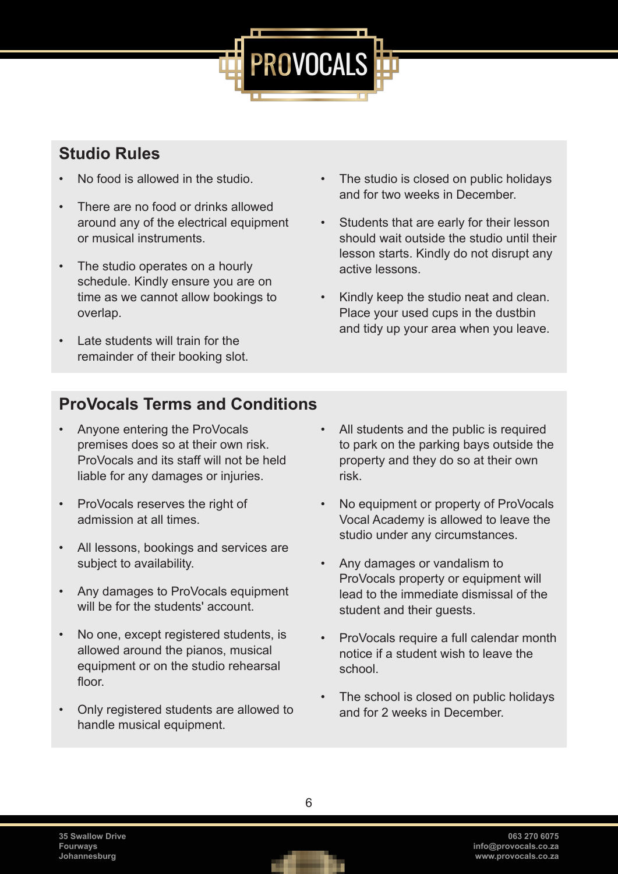

#### <span id="page-8-0"></span>**Studio Rules**

- No food is allowed in the studio.
- There are no food or drinks allowed around any of the electrical equipment or musical instruments.
- The studio operates on a hourly schedule. Kindly ensure you are on time as we cannot allow bookings to overlap.
- Late students will train for the remainder of their booking slot.
- The studio is closed on public holidays and for two weeks in December.
- Students that are early for their lesson should wait outside the studio until their lesson starts. Kindly do not disrupt any active lessons.
- Kindly keep the studio neat and clean. Place your used cups in the dustbin and tidy up your area when you leave.

#### **ProVocals Terms and Conditions**

- Anyone entering the ProVocals premises does so at their own risk. ProVocals and its staff will not be held liable for any damages or injuries.
- ProVocals reserves the right of admission at all times.
- All lessons, bookings and services are subject to availability.
- Any damages to ProVocals equipment will be for the students' account.
- No one, except registered students, is allowed around the pianos, musical equipment or on the studio rehearsal floor.
- Only registered students are allowed to handle musical equipment.
- All students and the public is required to park on the parking bays outside the property and they do so at their own risk.
- No equipment or property of ProVocals Vocal Academy is allowed to leave the studio under any circumstances.
- Any damages or vandalism to ProVocals property or equipment will lead to the immediate dismissal of the student and their guests.
- ProVocals require a full calendar month notice if a student wish to leave the school.
- The school is closed on public holidays and for 2 weeks in December.

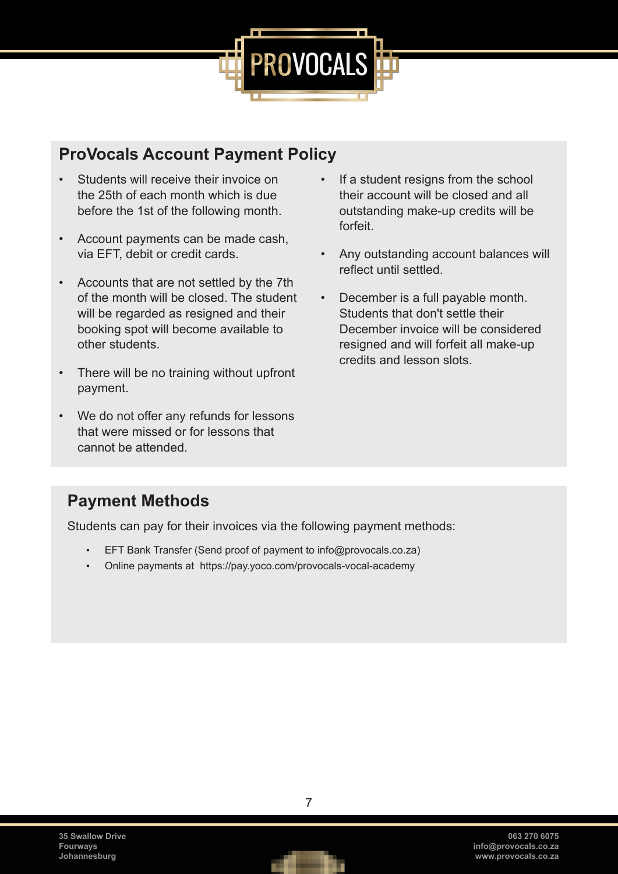

#### <span id="page-9-0"></span>**ProVocals Account Payment Policy**

- Students will receive their invoice on the 25th of each month which is due before the 1st of the following month.
- Account payments can be made cash, via EFT, debit or credit cards.
- Accounts that are not settled by the 7th of the month will be closed. The student will be regarded as resigned and their booking spot will become available to other students.
- There will be no training without upfront payment.
- We do not offer any refunds for lessons that were missed or for lessons that cannot be attended.
- If a student resigns from the school their account will be closed and all outstanding make-up credits will be forfeit.
- Any outstanding account balances will reflect until settled.
- December is a full payable month. Students that don't settle their December invoice will be considered resigned and will forfeit all make-up credits and lesson slots.

#### **Payment Methods**

Students can pay for their invoices via the following payment methods:

- EFT Bank Transfer (Send proof of payment to info@provocals.co.za)
- Online payments at https://pay.yoco.com/provocals-vocal-academy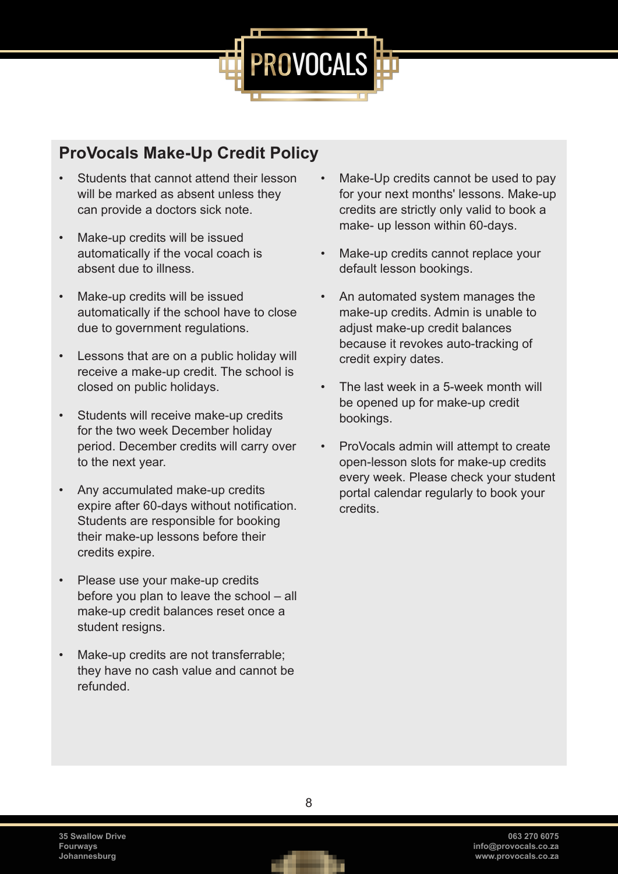

#### <span id="page-10-0"></span>**ProVocals Make-Up Credit Policy**

- Students that cannot attend their lesson will be marked as absent unless they can provide a doctors sick note.
- Make-up credits will be issued automatically if the vocal coach is absent due to illness.
- Make-up credits will be issued automatically if the school have to close due to government regulations.
- Lessons that are on a public holiday will receive a make-up credit. The school is closed on public holidays.
- Students will receive make-up credits for the two week December holiday period. December credits will carry over to the next year.
- Any accumulated make-up credits expire after 60-days without notification. Students are responsible for booking their make-up lessons before their credits expire.
- Please use your make-up credits before you plan to leave the school – all make-up credit balances reset once a student resigns.
- Make-up credits are not transferrable; they have no cash value and cannot be refunded.
- Make-Up credits cannot be used to pay for your next months' lessons. Make-up credits are strictly only valid to book a make- up lesson within 60-days.
- Make-up credits cannot replace your default lesson bookings.
- An automated system manages the make-up credits. Admin is unable to adjust make-up credit balances because it revokes auto-tracking of credit expiry dates.
- The last week in a 5-week month will be opened up for make-up credit bookings.
- ProVocals admin will attempt to create open-lesson slots for make-up credits every week. Please check your student portal calendar regularly to book your credits.

**35 Swallow Drive Fourways Johannesburg**

8